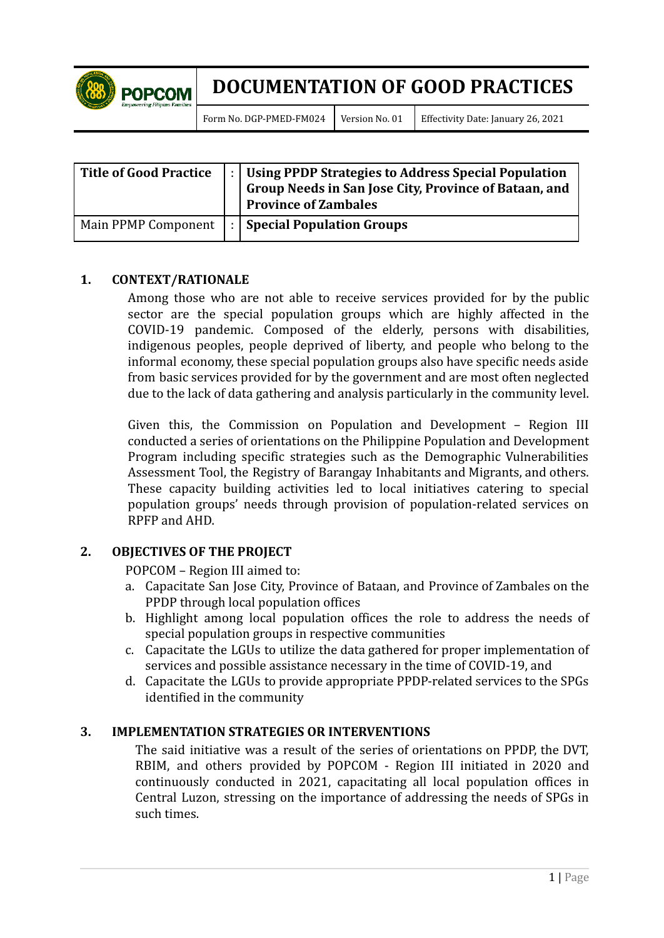

Form No. DGP-PMED-FM024 Version No. 01 Effectivity Date: January 26, 2021

| <b>Title of Good Practice</b> | Using PPDP Strategies to Address Special Population<br>  Group Needs in San Jose City, Province of Bataan, and<br><b>Province of Zambales</b> |
|-------------------------------|-----------------------------------------------------------------------------------------------------------------------------------------------|
| Main PPMP Component           | $\vert$ :   Special Population Groups                                                                                                         |

### **1. CONTEXT/RATIONALE**

Among those who are not able to receive services provided for by the public sector are the special population groups which are highly affected in the COVID-19 pandemic. Composed of the elderly, persons with disabilities, indigenous peoples, people deprived of liberty, and people who belong to the informal economy, these special population groups also have specific needs aside from basic services provided for by the government and are most often neglected due to the lack of data gathering and analysis particularly in the community level.

Given this, the Commission on Population and Development – Region III conducted a series of orientations on the Philippine Population and Development Program including specific strategies such as the Demographic Vulnerabilities Assessment Tool, the Registry of Barangay Inhabitants and Migrants, and others. These capacity building activities led to local initiatives catering to special population groups' needs through provision of population-related services on RPFP and AHD.

### **2. OBJECTIVES OF THE PROJECT**

POPCOM – Region III aimed to:

- a. Capacitate San Jose City, Province of Bataan, and Province of Zambales on the PPDP through local population offices
- b. Highlight among local population offices the role to address the needs of special population groups in respective communities
- c. Capacitate the LGUs to utilize the data gathered for proper implementation of services and possible assistance necessary in the time of COVID-19, and
- d. Capacitate the LGUs to provide appropriate PPDP-related services to the SPGs identified in the community

#### **3. IMPLEMENTATION STRATEGIES OR INTERVENTIONS**

The said initiative was a result of the series of orientations on PPDP, the DVT, RBIM, and others provided by POPCOM - Region III initiated in 2020 and continuously conducted in 2021, capacitating all local population offices in Central Luzon, stressing on the importance of addressing the needs of SPGs in such times.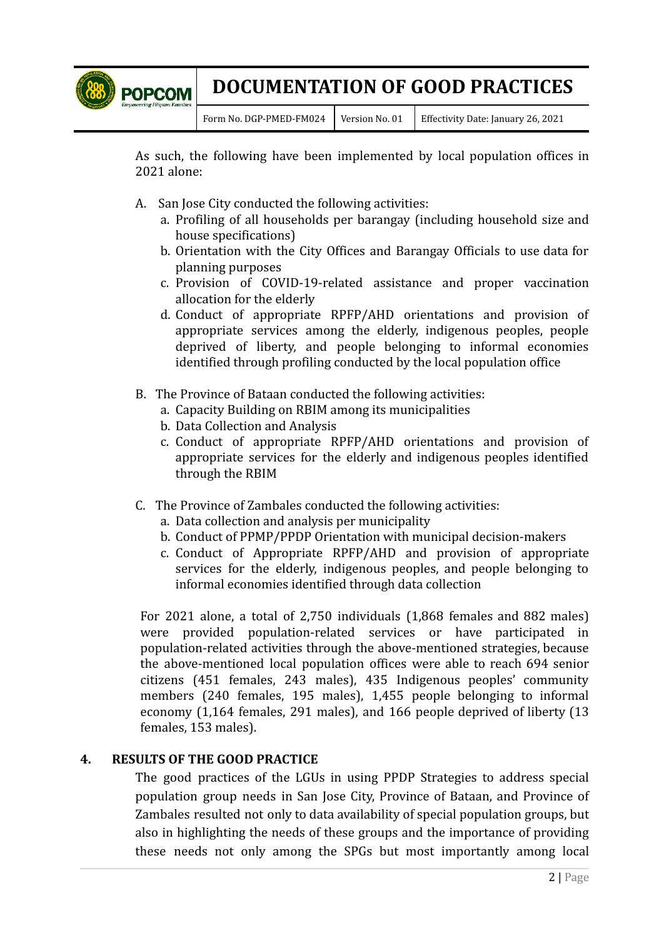

Form No. DGP-PMED-FM024 Version No. 01 Effectivity Date: January 26, 2021

As such, the following have been implemented by local population offices in 2021 alone:

- A. San Jose City conducted the following activities:
	- a. Profiling of all households per barangay (including household size and house specifications)
	- b. Orientation with the City Offices and Barangay Officials to use data for planning purposes
	- c. Provision of COVID-19-related assistance and proper vaccination allocation for the elderly
	- d. Conduct of appropriate RPFP/AHD orientations and provision of appropriate services among the elderly, indigenous peoples, people deprived of liberty, and people belonging to informal economies identified through profiling conducted by the local population office
- B. The Province of Bataan conducted the following activities:
	- a. Capacity Building on RBIM among its municipalities
	- b. Data Collection and Analysis
	- c. Conduct of appropriate RPFP/AHD orientations and provision of appropriate services for the elderly and indigenous peoples identified through the RBIM
- C. The Province of Zambales conducted the following activities:
	- a. Data collection and analysis per municipality
	- b. Conduct of PPMP/PPDP Orientation with municipal decision-makers
	- c. Conduct of Appropriate RPFP/AHD and provision of appropriate services for the elderly, indigenous peoples, and people belonging to informal economies identified through data collection

For 2021 alone, a total of 2,750 individuals (1,868 females and 882 males) were provided population-related services or have participated in population-related activities through the above-mentioned strategies, because the above-mentioned local population offices were able to reach 694 senior citizens (451 females, 243 males), 435 Indigenous peoples' community members (240 females, 195 males), 1,455 people belonging to informal economy (1,164 females, 291 males), and 166 people deprived of liberty (13 females, 153 males).

### **4. RESULTS OF THE GOOD PRACTICE**

The good practices of the LGUs in using PPDP Strategies to address special population group needs in San Jose City, Province of Bataan, and Province of Zambales resulted not only to data availability of special population groups, but also in highlighting the needs of these groups and the importance of providing these needs not only among the SPGs but most importantly among local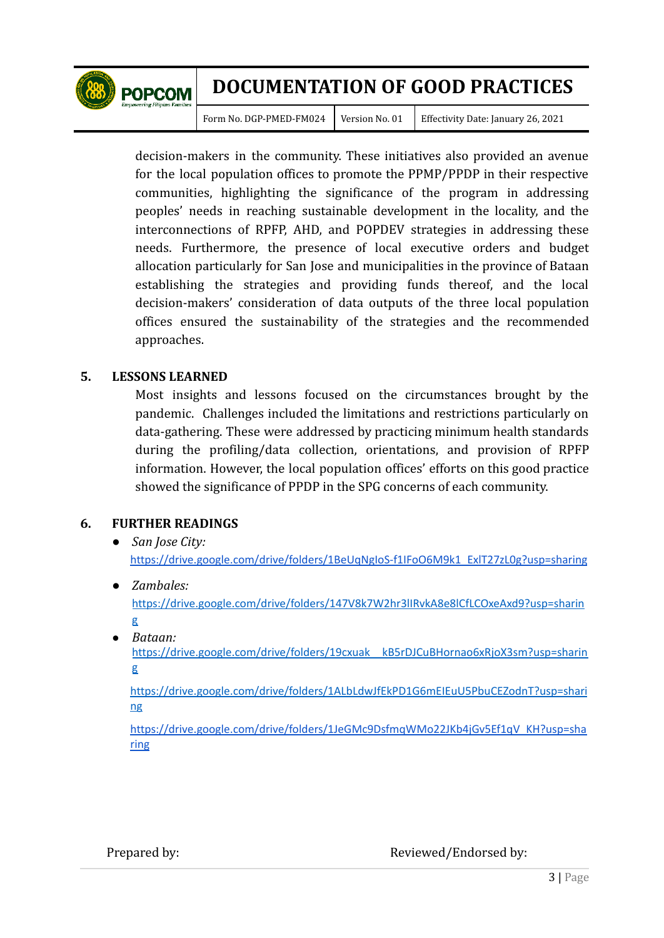

Form No. DGP-PMED-FM024 | Version No. 01 | Effectivity Date: January 26, 2021

decision-makers in the community. These initiatives also provided an avenue for the local population offices to promote the PPMP/PPDP in their respective communities, highlighting the significance of the program in addressing peoples' needs in reaching sustainable development in the locality, and the interconnections of RPFP, AHD, and POPDEV strategies in addressing these needs. Furthermore, the presence of local executive orders and budget allocation particularly for San Jose and municipalities in the province of Bataan establishing the strategies and providing funds thereof, and the local decision-makers' consideration of data outputs of the three local population offices ensured the sustainability of the strategies and the recommended approaches.

### **5. LESSONS LEARNED**

Most insights and lessons focused on the circumstances brought by the pandemic. Challenges included the limitations and restrictions particularly on data-gathering. These were addressed by practicing minimum health standards during the profiling/data collection, orientations, and provision of RPFP information. However, the local population offices' efforts on this good practice showed the significance of PPDP in the SPG concerns of each community.

### **6. FURTHER READINGS**

- *● San Jose City:* [https://drive.google.com/drive/folders/1BeUqNgIoS-f1IFoO6M9k1\\_ExlT27zL0g?usp=sharing](https://drive.google.com/drive/folders/1BeUqNgIoS-f1IFoO6M9k1_ExlT27zL0g?usp=sharing)
- *● Zambales:* [https://drive.google.com/drive/folders/147V8k7W2hr3lIRvkA8e8lCfLCOxeAxd9?usp=sharin](https://drive.google.com/drive/folders/147V8k7W2hr3lIRvkA8e8lCfLCOxeAxd9?usp=sharing) [g](https://drive.google.com/drive/folders/147V8k7W2hr3lIRvkA8e8lCfLCOxeAxd9?usp=sharing)
- *Bataan:*

[https://drive.google.com/drive/folders/19cxuak\\_\\_kB5rDJCuBHornao6xRjoX3sm?usp=sharin](https://drive.google.com/drive/folders/19cxuak__kB5rDJCuBHornao6xRjoX3sm?usp=sharing) [g](https://drive.google.com/drive/folders/19cxuak__kB5rDJCuBHornao6xRjoX3sm?usp=sharing)

[https://drive.google.com/drive/folders/1ALbLdwJfEkPD1G6mEIEuU5PbuCEZodnT?usp=shari](https://drive.google.com/drive/folders/1ALbLdwJfEkPD1G6mEIEuU5PbuCEZodnT?usp=sharing) [ng](https://drive.google.com/drive/folders/1ALbLdwJfEkPD1G6mEIEuU5PbuCEZodnT?usp=sharing)

[https://drive.google.com/drive/folders/1JeGMc9DsfmqWMo22JKb4jGv5Ef1qV\\_KH?usp=sha](https://drive.google.com/drive/folders/1JeGMc9DsfmqWMo22JKb4jGv5Ef1qV_KH?usp=sharing) [ring](https://drive.google.com/drive/folders/1JeGMc9DsfmqWMo22JKb4jGv5Ef1qV_KH?usp=sharing)

Prepared by: Reviewed/Endorsed by: